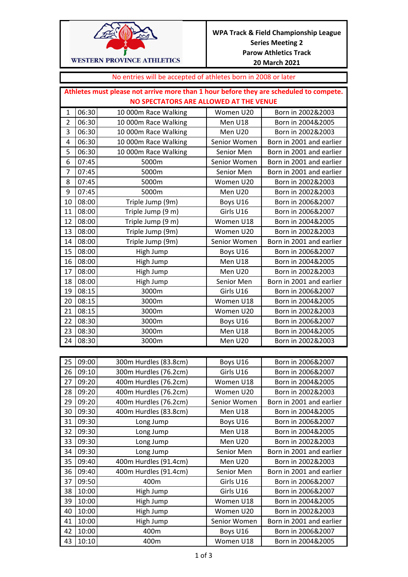

## No entries will be accepted of athletes born in 2008 or later

| Athletes must please not arrive more than 1 hour before they are scheduled to compete. |       |                       |              |                          |  |  |  |
|----------------------------------------------------------------------------------------|-------|-----------------------|--------------|--------------------------|--|--|--|
| NO SPECTATORS ARE ALLOWED AT THE VENUE                                                 |       |                       |              |                          |  |  |  |
| $\mathbf{1}$                                                                           | 06:30 | 10 000m Race Walking  | Women U20    | Born in 2002&2003        |  |  |  |
| $\overline{2}$                                                                         | 06:30 | 10 000m Race Walking  | Men U18      | Born in 2004&2005        |  |  |  |
| 3                                                                                      | 06:30 | 10 000m Race Walking  | Men U20      | Born in 2002&2003        |  |  |  |
| 4                                                                                      | 06:30 | 10 000m Race Walking  | Senior Women | Born in 2001 and earlier |  |  |  |
| 5                                                                                      | 06:30 | 10 000m Race Walking  | Senior Men   | Born in 2001 and earlier |  |  |  |
| 6                                                                                      | 07:45 | 5000m                 | Senior Women | Born in 2001 and earlier |  |  |  |
| 7                                                                                      | 07:45 | 5000m                 | Senior Men   | Born in 2001 and earlier |  |  |  |
| 8                                                                                      | 07:45 | 5000m                 | Women U20    | Born in 2002&2003        |  |  |  |
| 9                                                                                      | 07:45 | 5000m                 | Men U20      | Born in 2002&2003        |  |  |  |
| 10                                                                                     | 08:00 | Triple Jump (9m)      | Boys U16     | Born in 2006&2007        |  |  |  |
| 11                                                                                     | 08:00 | Triple Jump (9 m)     | Girls U16    | Born in 2006&2007        |  |  |  |
| 12                                                                                     | 08:00 | Triple Jump (9 m)     | Women U18    | Born in 2004&2005        |  |  |  |
| 13                                                                                     | 08:00 | Triple Jump (9m)      | Women U20    | Born in 2002&2003        |  |  |  |
| 14                                                                                     | 08:00 | Triple Jump (9m)      | Senior Women | Born in 2001 and earlier |  |  |  |
| 15                                                                                     | 08:00 | High Jump             | Boys U16     | Born in 2006&2007        |  |  |  |
| 16                                                                                     | 08:00 | High Jump             | Men U18      | Born in 2004&2005        |  |  |  |
| 17                                                                                     | 08:00 | High Jump             | Men U20      | Born in 2002&2003        |  |  |  |
| 18                                                                                     | 08:00 | High Jump             | Senior Men   | Born in 2001 and earlier |  |  |  |
| 19                                                                                     | 08:15 | 3000m                 | Girls U16    | Born in 2006&2007        |  |  |  |
| 20                                                                                     | 08:15 | 3000m                 | Women U18    | Born in 2004&2005        |  |  |  |
| 21                                                                                     | 08:15 | 3000m                 | Women U20    | Born in 2002&2003        |  |  |  |
| 22                                                                                     | 08:30 | 3000m                 | Boys U16     | Born in 2006&2007        |  |  |  |
| 23                                                                                     | 08:30 | 3000m                 | Men U18      | Born in 2004&2005        |  |  |  |
| 24                                                                                     | 08:30 | 3000m                 | Men U20      | Born in 2002&2003        |  |  |  |
|                                                                                        |       |                       |              |                          |  |  |  |
| 25                                                                                     | 09:00 | 300m Hurdles (83.8cm) | Boys U16     | Born in 2006&2007        |  |  |  |
| 26                                                                                     | 09:10 | 300m Hurdles (76.2cm) | Girls U16    | Born in 2006&2007        |  |  |  |
| 27                                                                                     | 09:20 | 400m Hurdles (76.2cm) | Women U18    | Born in 2004&2005        |  |  |  |
| 28                                                                                     | 09:20 | 400m Hurdles (76.2cm) | Women U20    | Born in 2002&2003        |  |  |  |
| 29                                                                                     | 09:20 | 400m Hurdles (76.2cm) | Senior Women | Born in 2001 and earlier |  |  |  |
| 30                                                                                     | 09:30 | 400m Hurdles (83.8cm) | Men U18      | Born in 2004&2005        |  |  |  |
| 31                                                                                     | 09:30 | Long Jump             | Boys U16     | Born in 2006&2007        |  |  |  |
| 32                                                                                     | 09:30 | Long Jump             | Men U18      | Born in 2004&2005        |  |  |  |
| 33                                                                                     | 09:30 | Long Jump             | Men U20      | Born in 2002&2003        |  |  |  |
| 34                                                                                     | 09:30 | Long Jump             | Senior Men   | Born in 2001 and earlier |  |  |  |
| 35                                                                                     | 09:40 | 400m Hurdles (91.4cm) | Men U20      | Born in 2002&2003        |  |  |  |
| 36                                                                                     | 09:40 | 400m Hurdles (91.4cm) | Senior Men   | Born in 2001 and earlier |  |  |  |
| 37                                                                                     | 09:50 | 400m                  | Girls U16    | Born in 2006&2007        |  |  |  |
| 38                                                                                     | 10:00 | High Jump             | Girls U16    | Born in 2006&2007        |  |  |  |
| 39                                                                                     | 10:00 | High Jump             | Women U18    | Born in 2004&2005        |  |  |  |
| 40                                                                                     | 10:00 | High Jump             | Women U20    | Born in 2002&2003        |  |  |  |
| 41                                                                                     | 10:00 | High Jump             | Senior Women | Born in 2001 and earlier |  |  |  |
| 42                                                                                     | 10:00 | 400m                  | Boys U16     | Born in 2006&2007        |  |  |  |
| 43                                                                                     | 10:10 | 400m                  | Women U18    | Born in 2004&2005        |  |  |  |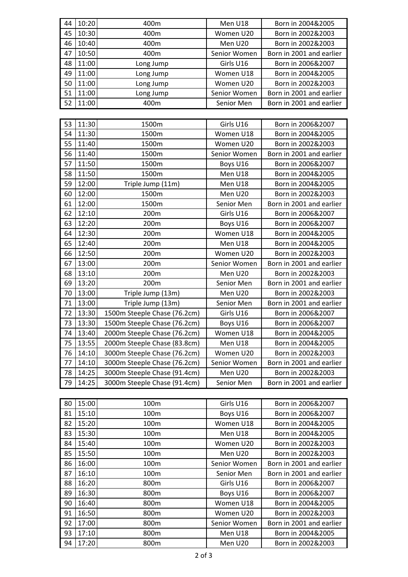| 44 | 10:20 | 400m                         | Men U18      | Born in 2004&2005        |
|----|-------|------------------------------|--------------|--------------------------|
| 45 | 10:30 | 400m                         | Women U20    | Born in 2002&2003        |
| 46 | 10:40 | 400m                         | Men U20      | Born in 2002&2003        |
| 47 | 10:50 | 400m                         | Senior Women | Born in 2001 and earlier |
| 48 | 11:00 | Long Jump                    | Girls U16    | Born in 2006&2007        |
| 49 | 11:00 | Long Jump                    | Women U18    | Born in 2004&2005        |
| 50 | 11:00 | Long Jump                    | Women U20    | Born in 2002&2003        |
| 51 | 11:00 | Long Jump                    | Senior Women | Born in 2001 and earlier |
| 52 | 11:00 | 400m                         | Senior Men   | Born in 2001 and earlier |
|    |       |                              |              |                          |
| 53 | 11:30 | 1500m                        | Girls U16    | Born in 2006&2007        |
| 54 | 11:30 | 1500m                        | Women U18    | Born in 2004&2005        |
| 55 | 11:40 | 1500m                        | Women U20    | Born in 2002&2003        |
| 56 | 11:40 | 1500m                        | Senior Women | Born in 2001 and earlier |
| 57 | 11:50 | 1500m                        | Boys U16     | Born in 2006&2007        |
| 58 | 11:50 | 1500m                        | Men U18      | Born in 2004&2005        |
| 59 | 12:00 | Triple Jump (11m)            | Men U18      | Born in 2004&2005        |
| 60 | 12:00 | 1500m                        | Men U20      | Born in 2002&2003        |
| 61 | 12:00 | 1500m                        | Senior Men   | Born in 2001 and earlier |
| 62 | 12:10 | 200m                         | Girls U16    | Born in 2006&2007        |
| 63 | 12:20 | 200m                         | Boys U16     | Born in 2006&2007        |
| 64 | 12:30 | 200m                         | Women U18    | Born in 2004&2005        |
| 65 | 12:40 | 200m                         | Men U18      | Born in 2004&2005        |
| 66 | 12:50 | 200m                         | Women U20    | Born in 2002&2003        |
| 67 | 13:00 | 200m                         | Senior Women | Born in 2001 and earlier |
| 68 | 13:10 | 200m                         | Men U20      | Born in 2002&2003        |
| 69 | 13:20 | 200m                         | Senior Men   | Born in 2001 and earlier |
| 70 | 13:00 | Triple Jump (13m)            | Men U20      | Born in 2002&2003        |
| 71 | 13:00 | Triple Jump (13m)            | Senior Men   | Born in 2001 and earlier |
| 72 | 13:30 | 1500m Steeple Chase (76.2cm) | Girls U16    | Born in 2006&2007        |
| 73 | 13:30 | 1500m Steeple Chase (76.2cm) | Boys U16     | Born in 2006&2007        |
| 74 | 13:40 | 2000m Steeple Chase (76.2cm) | Women U18    | Born in 2004&2005        |
| 75 | 13:55 | 2000m Steeple Chase (83.8cm) | Men U18      | Born in 2004&2005        |
| 76 | 14:10 | 3000m Steeple Chase (76.2cm) | Women U20    | Born in 2002&2003        |
| 77 | 14:10 | 3000m Steeple Chase (76.2cm) | Senior Women | Born in 2001 and earlier |
| 78 | 14:25 | 3000m Steeple Chase (91.4cm) | Men U20      | Born in 2002&2003        |
| 79 | 14:25 | 3000m Steeple Chase (91.4cm) | Senior Men   | Born in 2001 and earlier |
|    |       |                              |              |                          |
| 80 | 15:00 | 100m                         | Girls U16    | Born in 2006&2007        |
| 81 | 15:10 | 100m                         | Boys U16     | Born in 2006&2007        |
| 82 | 15:20 | 100m                         | Women U18    | Born in 2004&2005        |
| 83 | 15:30 | 100m                         | Men U18      | Born in 2004&2005        |
| 84 | 15:40 | 100m                         | Women U20    | Born in 2002&2003        |
| 85 | 15:50 | 100m                         | Men U20      | Born in 2002&2003        |
| 86 | 16:00 | 100m                         | Senior Women | Born in 2001 and earlier |
| 87 | 16:10 | 100m                         | Senior Men   | Born in 2001 and earlier |
| 88 | 16:20 | 800m                         | Girls U16    | Born in 2006&2007        |
| 89 | 16:30 | 800m                         | Boys U16     | Born in 2006&2007        |

90 | 16:40 | 800m | Women U18 | Born in 2004&2005

91 16:50 800m 800m Women U20 Born in 2002&2003<br>92 17:00 800m Senior Women Born in 2001 and earli 92 17:00 800m 800m Senior Women Born in 2001 and earlier 93 17:10 800m Men U18 Born in 2004&2005 94 | 17:20 | 800m | Men U20 | Born in 2002&2003